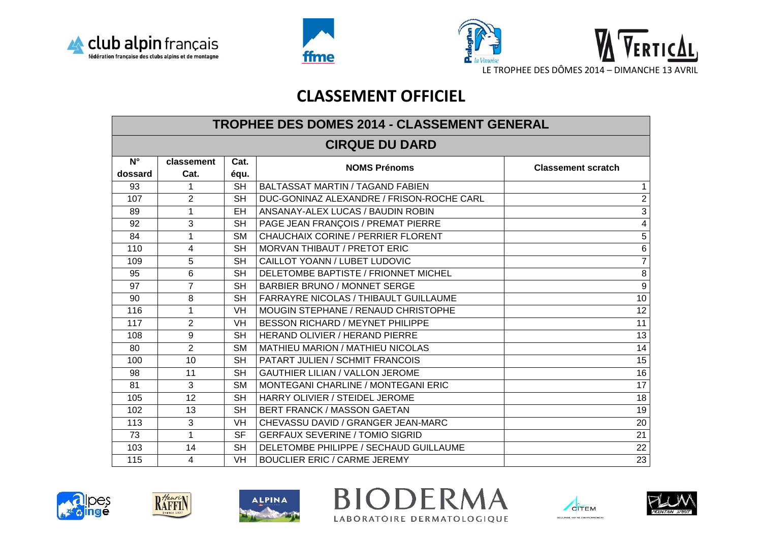





## **CLASSEMENT OFFICIEL**

| TROPHEE DES DOMES 2014 - CLASSEMENT GENERAL |                  |                          |                                              |                           |  |  |  |
|---------------------------------------------|------------------|--------------------------|----------------------------------------------|---------------------------|--|--|--|
| <b>CIRQUE DU DARD</b>                       |                  |                          |                                              |                           |  |  |  |
| $N^{\circ}$                                 | classement       | Cat.                     | <b>NOMS Prénoms</b>                          | <b>Classement scratch</b> |  |  |  |
| dossard                                     | Cat.             | équ.                     |                                              |                           |  |  |  |
| 93                                          | 1                | <b>SH</b>                | <b>BALTASSAT MARTIN / TAGAND FABIEN</b>      | $\mathbf{1}$              |  |  |  |
| 107                                         | $\overline{2}$   | <b>SH</b>                | DUC-GONINAZ ALEXANDRE / FRISON-ROCHE CARL    | $\overline{2}$            |  |  |  |
| 89                                          | $\mathbf 1$      | <b>EH</b>                | ANSANAY-ALEX LUCAS / BAUDIN ROBIN            | $\overline{3}$            |  |  |  |
| 92                                          | 3                | <b>SH</b>                | PAGE JEAN FRANÇOIS / PREMAT PIERRE           | $\overline{\mathbf{4}}$   |  |  |  |
| 84                                          | $\mathbf{1}$     | <b>SM</b>                | <b>CHAUCHAIX CORINE / PERRIER FLORENT</b>    | 5                         |  |  |  |
| 110                                         | $\overline{4}$   | <b>SH</b>                | <b>MORVAN THIBAUT / PRETOT ERIC</b>          | $\overline{6}$            |  |  |  |
| 109                                         | 5                | <b>SH</b>                | CAILLOT YOANN / LUBET LUDOVIC                | $\overline{7}$            |  |  |  |
| 95                                          | 6                | <b>SH</b>                | DELETOMBE BAPTISTE / FRIONNET MICHEL         | 8                         |  |  |  |
| 97                                          | $\overline{7}$   | <b>SH</b>                | <b>BARBIER BRUNO / MONNET SERGE</b>          | $\overline{9}$            |  |  |  |
| 90                                          | 8                | <b>SH</b>                | <b>FARRAYRE NICOLAS / THIBAULT GUILLAUME</b> | 10 <sub>1</sub>           |  |  |  |
| 116                                         | $\mathbf 1$      | <b>VH</b>                | MOUGIN STEPHANE / RENAUD CHRISTOPHE          | $\overline{12}$           |  |  |  |
| 117                                         | $\overline{2}$   | <b>VH</b>                | BESSON RICHARD / MEYNET PHILIPPE             | 11                        |  |  |  |
| 108                                         | $\boldsymbol{9}$ | <b>SH</b>                | <b>HERAND OLIVIER / HERAND PIERRE</b>        | 13                        |  |  |  |
| 80                                          | $\overline{2}$   | <b>SM</b>                | <b>MATHIEU MARION / MATHIEU NICOLAS</b>      | 14                        |  |  |  |
| 100                                         | 10               | <b>SH</b>                | PATART JULIEN / SCHMIT FRANCOIS              | 15                        |  |  |  |
| 98                                          | 11               | <b>SH</b>                | <b>GAUTHIER LILIAN / VALLON JEROME</b>       | $\overline{16}$           |  |  |  |
| 81                                          | 3                | <b>SM</b>                | <b>MONTEGANI CHARLINE / MONTEGANI ERIC</b>   | 17                        |  |  |  |
| 105                                         | $\overline{12}$  | $\overline{\mathsf{SH}}$ | HARRY OLIVIER / STEIDEL JEROME               | $\overline{18}$           |  |  |  |
| 102                                         | 13               | <b>SH</b>                | BERT FRANCK / MASSON GAETAN                  | 19                        |  |  |  |
| 113                                         | $\mathbf{3}$     | <b>VH</b>                | CHEVASSU DAVID / GRANGER JEAN-MARC           | 20                        |  |  |  |
| 73                                          | $\mathbf{1}$     | <b>SF</b>                | <b>GERFAUX SEVERINE / TOMIO SIGRID</b>       | 21                        |  |  |  |
| 103                                         | 14               | <b>SH</b>                | DELETOMBE PHILIPPE / SECHAUD GUILLAUME       | 22                        |  |  |  |
| 115                                         | $\overline{4}$   | <b>VH</b>                | <b>BOUCLIER ERIC / CARME JEREMY</b>          | 23                        |  |  |  |





RAFFIN